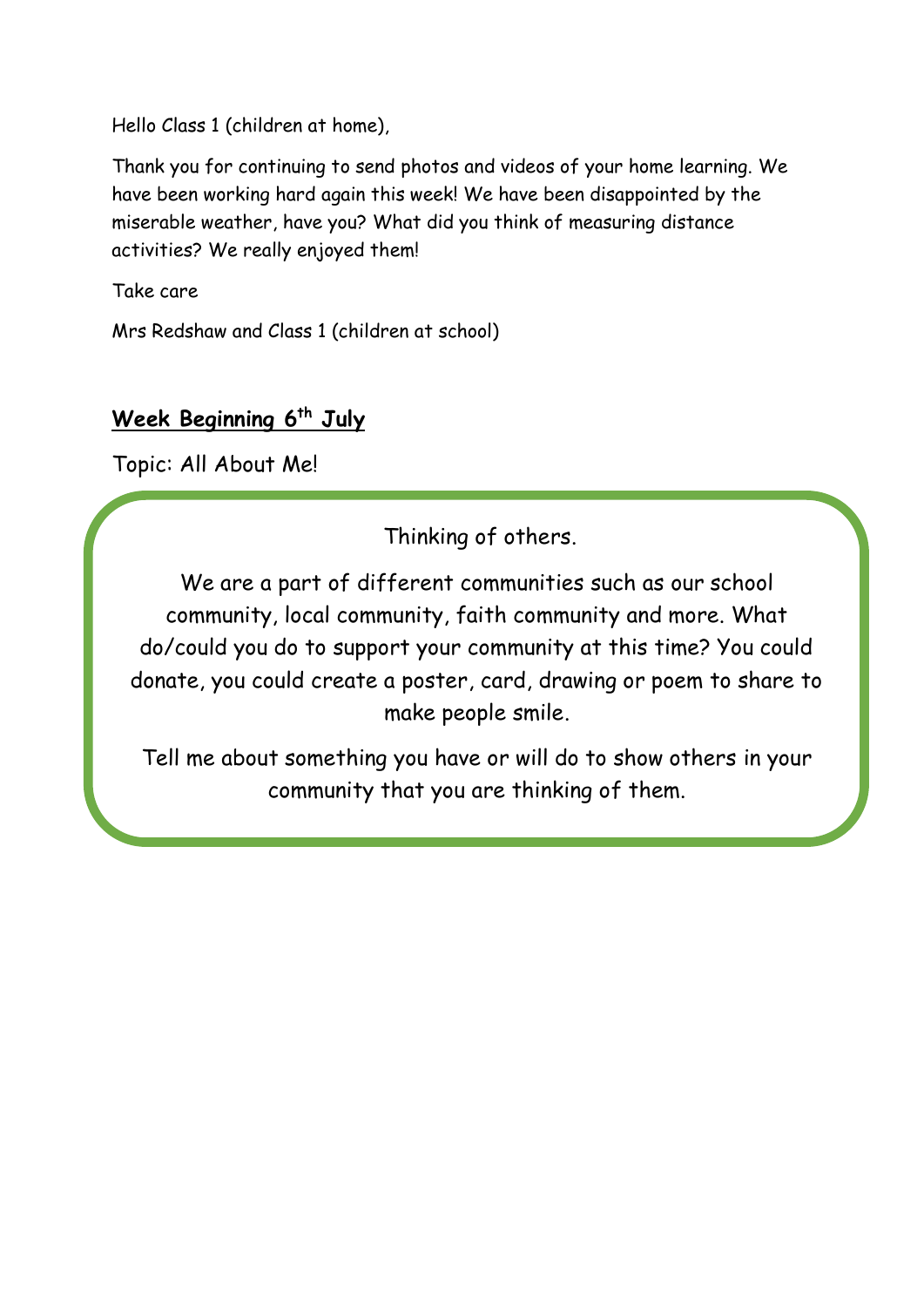Hello Class 1 (children at home),

Thank you for continuing to send photos and videos of your home learning. We have been working hard again this week! We have been disappointed by the miserable weather, have you? What did you think of measuring distance activities? We really enjoyed them!

Take care

Mrs Redshaw and Class 1 (children at school)

# **Week Beginning 6 th July**

Topic: All About Me!

Thinking of others.

We are a part of different communities such as our school community, local community, faith community and more. What do/could you do to support your community at this time? You could donate, you could create a poster, card, drawing or poem to share to make people smile.

Tell me about something you have or will do to show others in your community that you are thinking of them.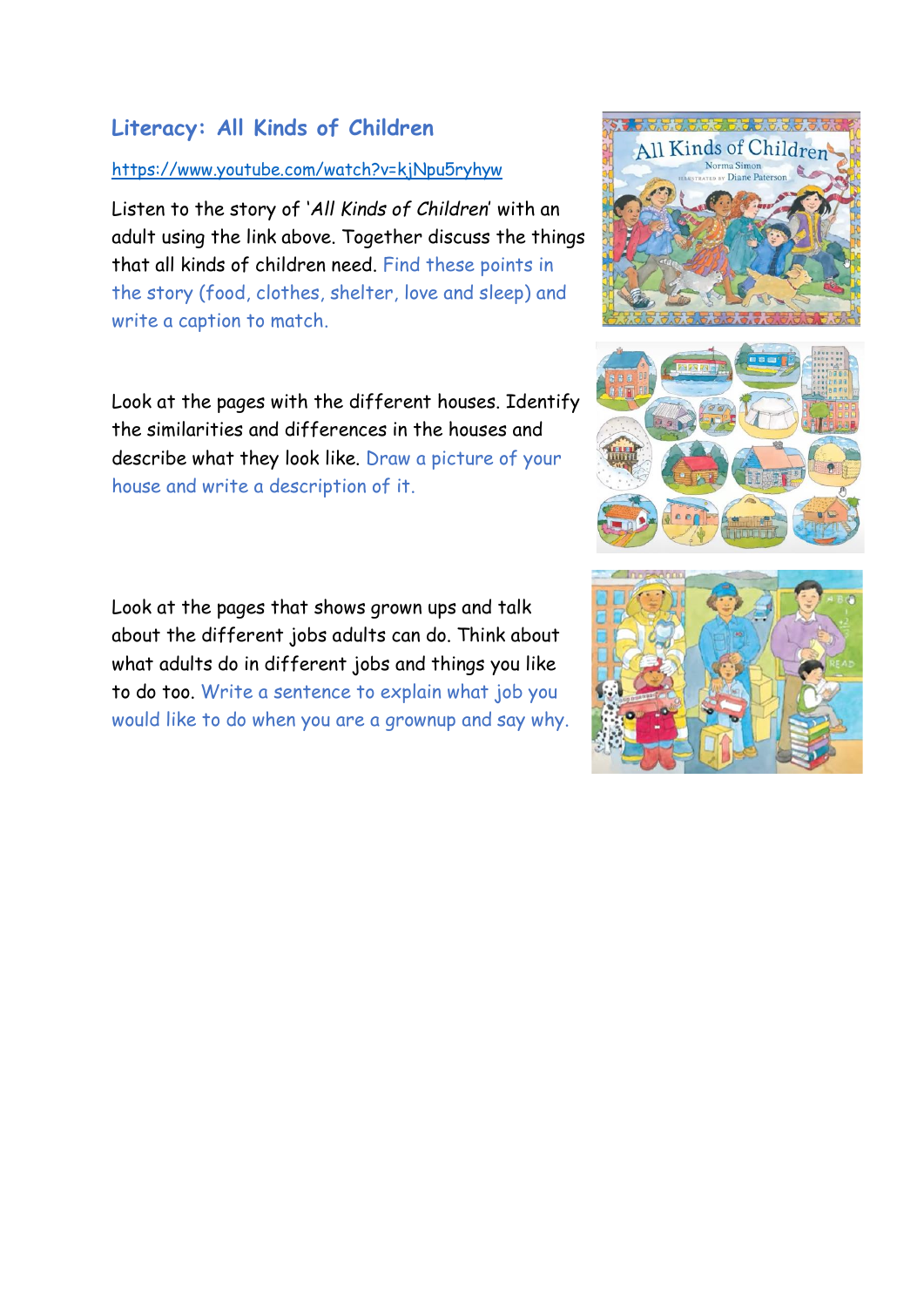## **Literacy: All Kinds of Children**

## <https://www.youtube.com/watch?v=kjNpu5ryhyw>

Listen to the story of '*All Kinds of Children*' with an adult using the link above. Together discuss the things that all kinds of children need. Find these points in the story (food, clothes, shelter, love and sleep) and write a caption to match.

Look at the pages with the different houses. Identify the similarities and differences in the houses and describe what they look like. Draw a picture of your house and write a description of it.

Look at the pages that shows grown ups and talk about the different jobs adults can do. Think about what adults do in different jobs and things you like to do too. Write a sentence to explain what job you would like to do when you are a grownup and say why.